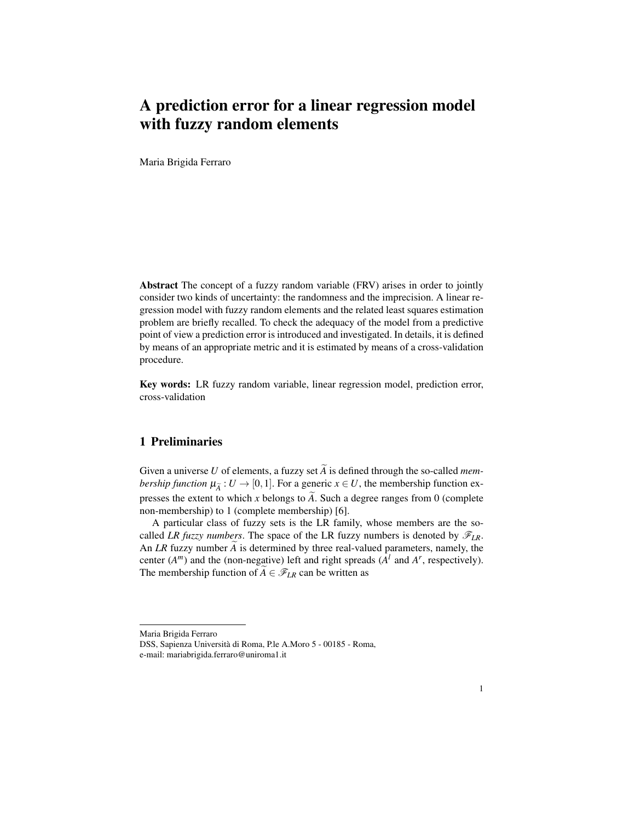# A prediction error for a linear regression model with fuzzy random elements

Maria Brigida Ferraro

Abstract The concept of a fuzzy random variable (FRV) arises in order to jointly consider two kinds of uncertainty: the randomness and the imprecision. A linear regression model with fuzzy random elements and the related least squares estimation problem are briefly recalled. To check the adequacy of the model from a predictive point of view a prediction error is introduced and investigated. In details, it is defined by means of an appropriate metric and it is estimated by means of a cross-validation procedure.

Key words: LR fuzzy random variable, linear regression model, prediction error, cross-validation

## 1 Preliminaries

Given a universe *U* of elements, a fuzzy set  $\widetilde{A}$  is defined through the so-called *membership function*  $\mu_{\tilde{A}} : U \to [0,1]$ . For a generic  $x \in U$ , the membership function expresses the extent to which x belongs to  $\tilde{A}$ . Such a degree ranges from 0 (complete non-membership) to 1 (complete membership) [6].

A particular class of fuzzy sets is the LR family, whose members are the socalled *LR fuzzy numbers*. The space of the LR fuzzy numbers is denoted by  $\mathscr{F}_{LR}$ . An *LR* fuzzy number  $\widetilde{A}$  is determined by three real-valued parameters, namely, the center  $(A^m)$  and the (non-negative) left and right spreads  $(A^l \text{ and } A^r \text{, respectively}).$ The membership function of  $A \in \mathcal{F}_{LR}$  can be written as

Maria Brigida Ferraro

DSS, Sapienza Universita di Roma, P.le A.Moro 5 - 00185 - Roma, ` e-mail: mariabrigida.ferraro@uniroma1.it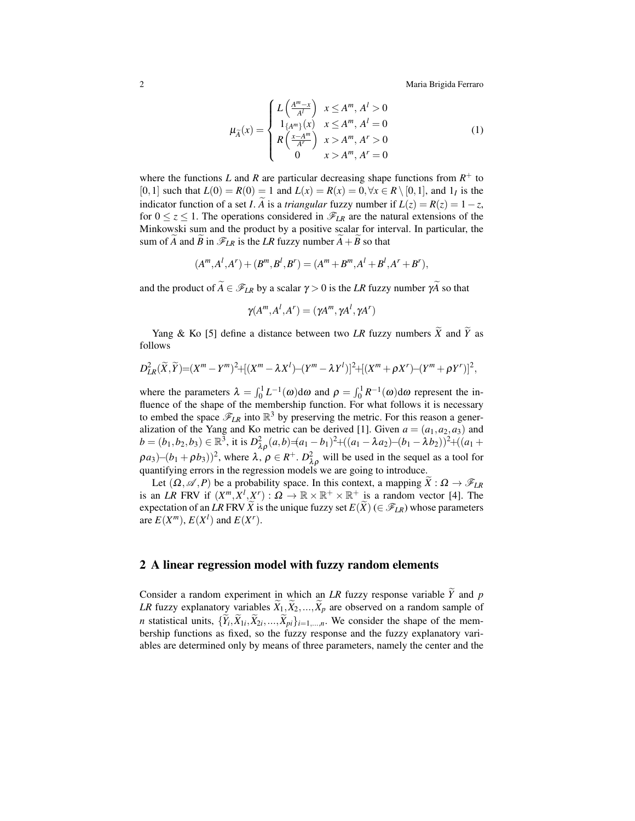2 Maria Brigida Ferraro

$$
\mu_{\widetilde{A}}(x) = \begin{cases} L\left(\frac{A^m - x}{A^l}\right) & x \le A^m, A^l > 0\\ 1_{\{A^m\}}(x) & x \le A^m, A^l = 0\\ R\left(\frac{x - A^m}{A^r}\right) & x > A^m, A^r > 0\\ 0 & x > A^m, A^r = 0 \end{cases}
$$
(1)

where the functions *L* and *R* are particular decreasing shape functions from  $R^+$  to [0,1] such that  $L(0) = R(0) = 1$  and  $L(x) = R(x) = 0, \forall x \in R \setminus [0,1]$ , and  $1<sub>I</sub>$  is the indicator function of a set *I*. *A* is a *triangular* fuzzy number if  $L(z) = R(z) = 1 - z$ , for  $0 \le z \le 1$ . The operations considered in  $\mathcal{F}_{LR}$  are the natural extensions of the Minkowski sum and the product by a positive scalar for interval. In particular, the sum of *A* and  $\widetilde{B}$  in  $\mathscr{F}_{LR}$  is the *LR* fuzzy number  $A + \widetilde{B}$  so that

$$
(A^m, A^l, A^r) + (B^m, B^l, B^r) = (A^m + B^m, A^l + B^l, A^r + B^r),
$$

and the product of  $\widetilde{A} \in \mathscr{F}_{LR}$  by a scalar  $\gamma > 0$  is the *LR* fuzzy number  $\gamma \widetilde{A}$  so that

$$
\gamma(A^m, A^l, A^r) = (\gamma A^m, \gamma A^l, \gamma A^r)
$$

Yang & Ko [5] define a distance between two *LR* fuzzy numbers  $\widetilde{X}$  and  $\widetilde{Y}$  as follows

$$
D_{LR}^{2}(\widetilde{X},\widetilde{Y})=(X^{m}-Y^{m})^{2}+[(X^{m}-\lambda X^{l})-(Y^{m}-\lambda Y^{l})]^{2}+[(X^{m}+\rho X^{r})-(Y^{m}+\rho Y^{r})]^{2},
$$

where the parameters  $\lambda = \int_0^1 L^{-1}(\omega) d\omega$  and  $\rho = \int_0^1 R^{-1}(\omega) d\omega$  represent the influence of the shape of the membership function. For what follows it is necessary to embed the space  $\mathscr{F}_{LR}$  into  $\mathbb{R}^3$  by preserving the metric. For this reason a generalization of the Yang and Ko metric can be derived [1]. Given  $a = (a_1, a_2, a_3)$  and  $b = (b_1, b_2, b_3) \in \mathbb{R}^3$ , it is  $D^2_{\lambda \rho}(a, b) = (a_1 - b_1)^2 + ((a_1 - \lambda a_2) - (b_1 - \lambda b_2))^2 + ((a_1 + b_2)^2)$  $(\rho a_3)$ – $(b_1 + \rho b_3)$ )<sup>2</sup>, where  $\lambda$ ,  $\rho \in R^+$ .  $D^2_{\lambda \rho}$  will be used in the sequel as a tool for quantifying errors in the regression models we are going to introduce.

Let  $(\Omega, \mathscr{A}, P)$  be a probability space. In this context, a mapping  $\hat{X}: \Omega \to \mathscr{F}_{LR}$ is an *LR* FRV if  $(X^m, X^l, X^r)$ :  $\Omega \to \mathbb{R} \times \mathbb{R}^+ \times \mathbb{R}^+$  is a random vector [4]. The expectation of an *LR* FRV  $\widetilde{X}$  is the unique fuzzy set  $E(\widetilde{X})$  ( $\in \mathscr{F}_{LR}$ ) whose parameters are  $E(X^m)$ ,  $E(X^l)$  and  $E(X^r)$ .

### 2 A linear regression model with fuzzy random elements

Consider a random experiment in which an *LR* fuzzy response variable  $\tilde{Y}$  and  $p$ *LR* fuzzy explanatory variables  $\widetilde{X}_1, \widetilde{X}_2, ..., \widetilde{X}_p$  are observed on a random sample of *n* statistical units,  $\{Y_i, X_{1i}, X_{2i}, \ldots, X_{pi}\}_{i=1,\ldots,n}$ . We consider the shape of the membership functions as fixed, so the fuzzy response and the fuzzy explanatory variables are determined only by means of three parameters, namely the center and the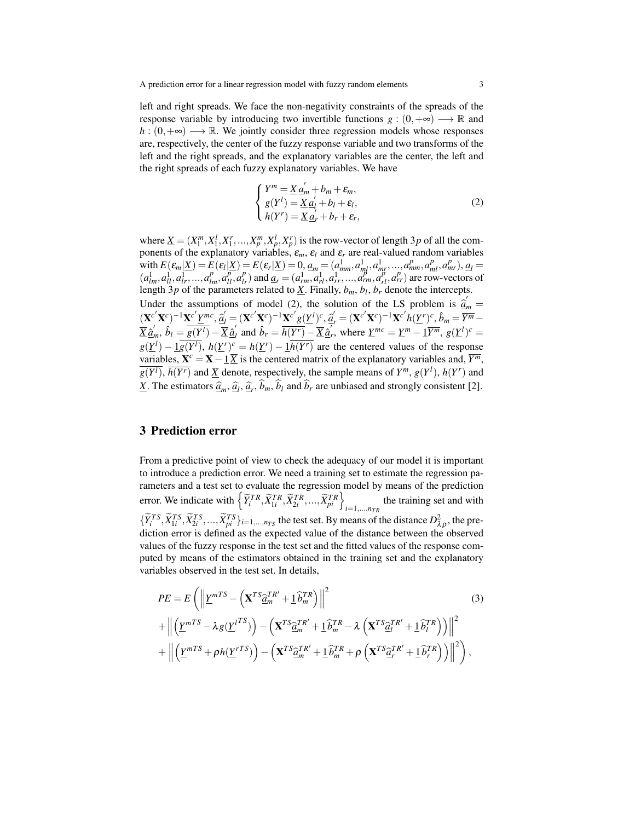left and right spreads. We face the non-negativity constraints of the spreads of the response variable by introducing two invertible functions  $g : (0, +\infty) \longrightarrow \mathbb{R}$  and  $h: (0, +\infty) \longrightarrow \mathbb{R}$ . We jointly consider three regression models whose responses are, respectively, the center of the fuzzy response variable and two transforms of the left and the right spreads, and the explanatory variables are the center, the left and the right spreads of each fuzzy explanatory variables. We have

$$
\begin{cases}\nY^m = \underline{X} \, \underline{a}'_m + b_m + \varepsilon_m, \\
g(Y^l) = \underline{X} \, \underline{a}'_l + b_l + \varepsilon_l, \\
h(Y^r) = \underline{X} \, \underline{a}'_r + b_r + \varepsilon_r,\n\end{cases} \tag{2}
$$

where  $\underline{X} = (X_1^m, X_1^l, X_1^r, ..., X_p^m, X_p^l, X_p^r)$  is the row-vector of length 3*p* of all the components of the explanatory variables,  $\varepsilon_m$ ,  $\varepsilon_l$  and  $\varepsilon_r$  are real-valued random variables with  $E(\varepsilon_m | \underline{X}) = E(\varepsilon_l | \underline{X}) = E(\varepsilon_r | \underline{X}) = 0, \underline{a}_m = (a_{mm}^1, a_{ml}^1, a_{mr}^1, ..., a_{mm}^p, a_{ml}^p, a_{mr}^p), \underline{a}_l =$  $(a_{lm}^1, a_{ll}^1, a_{lr}^1, ..., a_{lm}^p, a_{ll}^p, a_{lr}^p)$  and  $\underline{a_r} = (a_{rm}^1, a_{rl}^1, a_{rr}^1, ..., a_{rm}^p, a_{rl}^p, a_{rr}^p)$  are row-vectors of length 3*p* of the parameters related to  $\underline{X}$ . Finally,  $b_m$ ,  $b_l$ ,  $b_r$  denote the intercepts. Under the assumptions of model (2), the solution of the LS problem is  $\hat{a}'_m =$ <br>  $\langle \mathbf{x} c' \mathbf{x} c \rangle = |\mathbf{x} c' \mathbf{x} m c| \leq \langle \mathbf{x} c' \mathbf{x} c \rangle = |\mathbf{x} c' \mathbf{x} m c|$  $(\mathbf{X}^{c'}\mathbf{X}^c)^{-1}\mathbf{X}^{c'}\underline{Y}^{mc}, \hat{\mathbf{q}}_l = (\mathbf{X}^{c'}\mathbf{X}^c)^{-1}\mathbf{X}^{c'}g(\underline{Y}^l)^c, \hat{\mathbf{q}}_r = (\mathbf{X}^{c'}\mathbf{X}^c)^{-1}\mathbf{X}^{c'}h(\underline{Y}^r)^c, \hat{b}_m = \frac{\overline{Y}^m}{\overline{Y}^m} - \ \nabla^2\mathbf{q}^r$  $\overline{X}$   $\hat{\underline{a}}'_{m}, \ \hat{b}_{l} = \overline{g(Y^{l})} - \overline{X}$   $\hat{\underline{a}}'_{l}$  $\sum_{l=1}^{N} a_{l} \hat{b}_{r} = \overline{h(Y^{r})} - \overline{\underline{X}} \hat{a}'_{r}$ , where  $\underline{Y}^{mc} = \underline{Y}^{m} - \underline{1} \overline{Y^{m}}$ ,  $g(\underline{Y}^{l})^{c} =$  $g(\underline{Y}^l) - \underline{1}g(\overline{Y^l})$ ,  $h(\underline{Y}^r)^c = h(\underline{Y}^r) - \underline{1}h(\overline{Y^r})$  are the centered values of the response variables,  $X^c = X - \underline{1} \overline{X}$  is the centered matrix of the explanatory variables and,  $\overline{Y^m}$ ,  $g(Y^l)$ ,  $\overline{h(Y^r)}$  and  $\overline{X}$  denote, respectively, the sample means of  $Y^m$ ,  $g(Y^l)$ ,  $h(Y^r)$  and *X*. The estimators  $\hat{a}_m$ ,  $\hat{a}_l$ ,  $\hat{a}_r$ ,  $b_m$ ,  $b_l$  and  $b_r$  are unbiased and strongly consistent [2].

#### 3 Prediction error

From a predictive point of view to check the adequacy of our model it is important to introduce a prediction error. We need a training set to estimate the regression parameters and a test set to evaluate the regression model by means of the prediction error. We indicate with  $\left\{ \tilde{Y}_i^{TR}, \tilde{X}_{1i}^{TR}, \tilde{X}_{2i}^{TR}, ..., \tilde{X}_{pi}^{TR} \right\}_{i=1,\dots,n_{TR}}$  the training set and with  $\{\widetilde{Y}_i^{TS}, \widetilde{X}_{1i}^{TS}, \widetilde{X}_{2i}^{TS}, ..., \widetilde{X}_{pi}^{TS}\}_{i=1,...,n_{TS}}$  the test set. By means of the distance  $D_{\lambda\rho}^2$ , the prediction error is defined as the expected value of the distance between the observed values of the fuzzy response in the test set and the fitted values of the response computed by means of the estimators obtained in the training set and the explanatory variables observed in the test set. In details,

$$
PE = E\left(\left\|\underline{Y}^{mTS} - \left(\mathbf{X}^{TS}\hat{\underline{a}}_m^{TR'} + \underline{1}\hat{b}_m^{TR}\right)\right\|^2\right)
$$
  
+ 
$$
\left\|\left(\underline{Y}^{mTS} - \lambda g(\underline{Y}^{ITS})\right) - \left(\mathbf{X}^{TS}\hat{\underline{a}}_m^{TR'} + \underline{1}\hat{b}_m^{TR} - \lambda \left(\mathbf{X}^{TS}\hat{\underline{a}}_l^{TR'} + \underline{1}\hat{b}_l^{TR}\right)\right)\right\|^2
$$
  
+ 
$$
\left\|\left(\underline{Y}^{mTS} + \rho h(\underline{Y}^{rTS})\right) - \left(\mathbf{X}^{TS}\hat{\underline{a}}_m^{TR'} + \underline{1}\hat{b}_m^{TR} + \rho \left(\mathbf{X}^{TS}\hat{\underline{a}}_r^{TR'} + \underline{1}\hat{b}_r^{TR}\right)\right)\right\|^2\right),
$$
 (3)